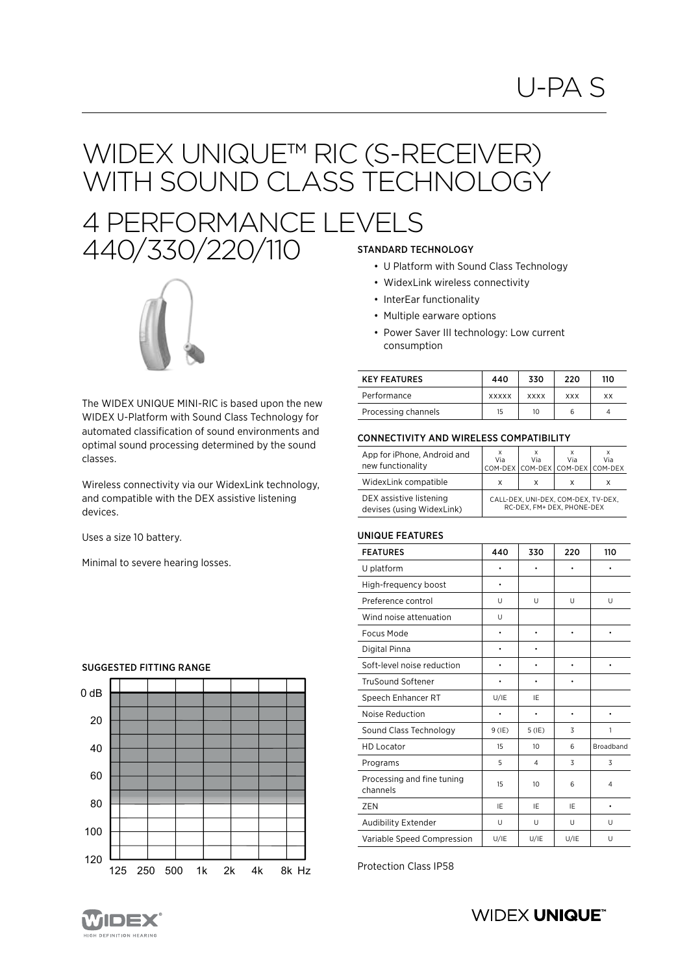# WIDEX UNIQUE™ RIC (S-RECEIVER) WITH SOUND CLASS TECHNOLOGY

## 4 PERFORMANCE LEVELS 440/330/220/110 STANDARD TECHNOLOGY



The WIDEX UNIQUE MINI-RIC is based upon the new WIDEX U-Platform with Sound Class Technology for automated classification of sound environments and optimal sound processing determined by the sound classes.

Wireless connectivity via our WidexLink technology, and compatible with the DEX assistive listening devices.

Uses a size 10 battery.

Minimal to severe hearing losses.



#### SUGGESTED FITTING RANGE

- U Platform with Sound Class Technology
- WidexLink wireless connectivity
- InterEar functionality
- Multiple earware options
- Power Saver III technology: Low current consumption

| <b>KEY FEATURES</b> | 440          | 330         | 220        | 110 |
|---------------------|--------------|-------------|------------|-----|
| Performance         | <b>XXXXX</b> | <b>XXXX</b> | <b>XXX</b> | ХX  |
| Processing channels | 15           | 10          | 6          |     |

#### CONNECTIVITY AND WIRELESS COMPATIBILITY

| App for iPhone, Android and<br>new functionality     | Via                                                               | Via | Via<br>COM-DEX COM-DEX COM-DEX COM-DEX | Via |
|------------------------------------------------------|-------------------------------------------------------------------|-----|----------------------------------------|-----|
| WidexLink compatible                                 | x                                                                 | x   | x                                      | x   |
| DEX assistive listening<br>devises (using WidexLink) | CALL-DEX, UNI-DEX, COM-DEX, TV-DEX,<br>RC-DEX. FM+ DEX. PHONE-DEX |     |                                        |     |

#### UNIQUE FEATURES

| <b>FEATURES</b>                        | 440      | 330      | 220       | 110            |
|----------------------------------------|----------|----------|-----------|----------------|
| U platform                             |          |          |           |                |
| High-frequency boost                   | ٠        |          |           |                |
| Preference control                     | U        | U        | U         | U              |
| Wind noise attenuation                 | U        |          |           |                |
| Focus Mode                             |          |          | $\bullet$ | $\bullet$      |
| Digital Pinna                          |          |          |           |                |
| Soft-level noise reduction             |          |          |           | ٠              |
| <b>TruSound Softener</b>               | ٠        |          |           |                |
| Speech Enhancer RT                     | U/IE     | IE       |           |                |
| Noise Reduction                        | ٠        | ٠        | ٠         | ٠              |
| Sound Class Technology                 | $9$ (IE) | $5$ (IE) | 3         | 1              |
| <b>HD Locator</b>                      | 15       | 10       | 6         | Broadband      |
| Programs                               | 5        | 4        | 3         | 3              |
| Processing and fine tuning<br>channels | 15       | 10       | 6         | $\overline{4}$ |
| ZEN                                    | IE       | IE       | IE        | $\bullet$      |
| Audibility Extender                    | U        | U        | U         | U              |
| Variable Speed Compression             | U/IE     | U/IE     | U/IE      | U              |

Protection Class IP58



### **WIDEX UNIQUE®**